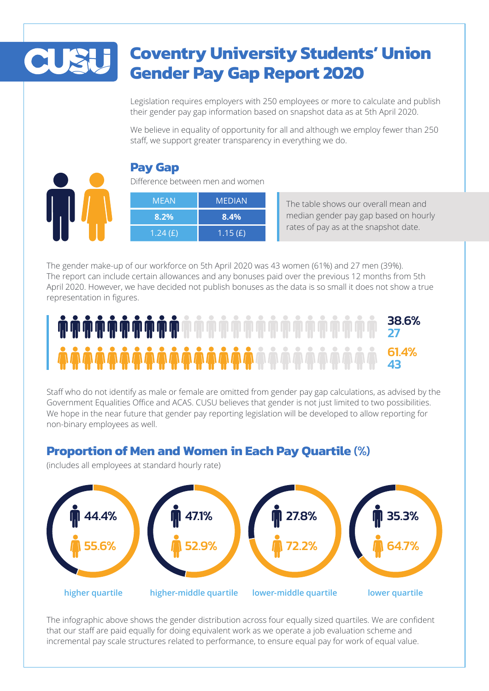# **Coventry University Students' Union Gender Pay Gap Report 2020**

Legislation requires employers with 250 employees or more to calculate and publish their gender pay gap information based on snapshot data as at 5th April 2020.

We believe in equality of opportunity for all and although we employ fewer than 250 staff, we support greater transparency in everything we do.



### **Pay Gap**

Difference between men and women

| MEAN       | <b>MEDIAN</b> |
|------------|---------------|
| $8.2\%$    | 8.4%          |
| 1.24 $(E)$ | 1.15 $(E)$    |

The table shows our overall mean and median gender pay gap based on hourly rates of pay as at the snapshot date.

The gender make-up of our workforce on 5th April 2020 was 43 women (61%) and 27 men (39%). The report can include certain allowances and any bonuses paid over the previous 12 months from 5th April 2020. However, we have decided not publish bonuses as the data is so small it does not show a true representation in figures.

#### 38.6% 2761.4% 43

Staff who do not identify as male or female are omitted from gender pay gap calculations, as advised by the Government Equalities Office and ACAS. CUSU believes that gender is not just limited to two possibilities. We hope in the near future that gender pay reporting legislation will be developed to allow reporting for non-binary employees as well.

## **Proportion of Men and Women in Each Pay Quartile** (%)

(includes all employees at standard hourly rate)



The infographic above shows the gender distribution across four equally sized quartiles. We are confident that our staff are paid equally for doing equivalent work as we operate a job evaluation scheme and incremental pay scale structures related to performance, to ensure equal pay for work of equal value.